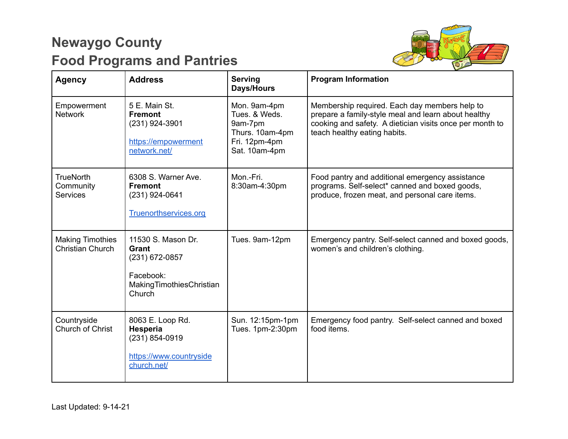## **Newaygo County Food Programs and Pantries**



| <b>Agency</b>                                      | <b>Address</b>                                                                                   | <b>Serving</b><br><b>Days/Hours</b>                                                           | <b>Program Information</b>                                                                                                                                                                       |
|----------------------------------------------------|--------------------------------------------------------------------------------------------------|-----------------------------------------------------------------------------------------------|--------------------------------------------------------------------------------------------------------------------------------------------------------------------------------------------------|
| Empowerment<br><b>Network</b>                      | 5 E. Main St.<br><b>Fremont</b><br>(231) 924-3901<br>https://empowerment<br>network.net/         | Mon. 9am-4pm<br>Tues, & Weds.<br>9am-7pm<br>Thurs. 10am-4pm<br>Fri. 12pm-4pm<br>Sat. 10am-4pm | Membership required. Each day members help to<br>prepare a family-style meal and learn about healthy<br>cooking and safety. A dietician visits once per month to<br>teach healthy eating habits. |
| <b>TrueNorth</b><br>Community<br><b>Services</b>   | 6308 S. Warner Ave.<br><b>Fremont</b><br>(231) 924-0641<br><b>Truenorthservices.org</b>          | Mon.-Fri.<br>8:30am-4:30pm                                                                    | Food pantry and additional emergency assistance<br>programs. Self-select* canned and boxed goods,<br>produce, frozen meat, and personal care items.                                              |
| <b>Making Timothies</b><br><b>Christian Church</b> | 11530 S. Mason Dr.<br>Grant<br>(231) 672-0857<br>Facebook:<br>MakingTimothiesChristian<br>Church | Tues. 9am-12pm                                                                                | Emergency pantry. Self-select canned and boxed goods,<br>women's and children's clothing.                                                                                                        |
| Countryside<br>Church of Christ                    | 8063 E. Loop Rd.<br>Hesperia<br>(231) 854-0919<br>https://www.countryside<br>church.net/         | Sun. 12:15pm-1pm<br>Tues. 1pm-2:30pm                                                          | Emergency food pantry. Self-select canned and boxed<br>food items.                                                                                                                               |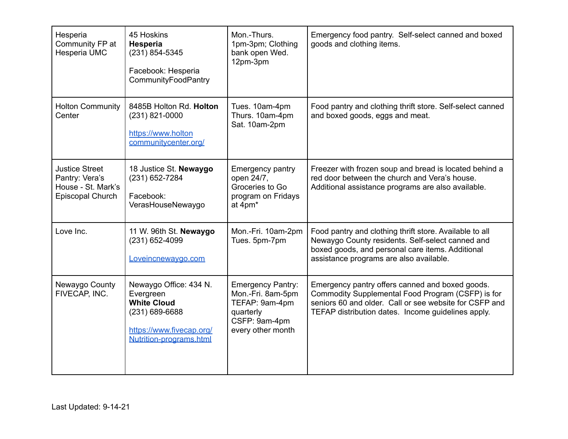| Hesperia<br>Community FP at<br>Hesperia UMC                                       | 45 Hoskins<br><b>Hesperia</b><br>(231) 854-5345<br>Facebook: Hesperia<br>CommunityFoodPantry                                       | Mon.-Thurs.<br>1pm-3pm; Clothing<br>bank open Wed.<br>12pm-3pm                                                     | Emergency food pantry. Self-select canned and boxed<br>goods and clothing items.                                                                                                                                     |
|-----------------------------------------------------------------------------------|------------------------------------------------------------------------------------------------------------------------------------|--------------------------------------------------------------------------------------------------------------------|----------------------------------------------------------------------------------------------------------------------------------------------------------------------------------------------------------------------|
| <b>Holton Community</b><br>Center                                                 | 8485B Holton Rd. Holton<br>(231) 821-0000<br>https://www.holton<br>communitycenter.org/                                            | Tues. 10am-4pm<br>Thurs. 10am-4pm<br>Sat. 10am-2pm                                                                 | Food pantry and clothing thrift store. Self-select canned<br>and boxed goods, eggs and meat.                                                                                                                         |
| <b>Justice Street</b><br>Pantry: Vera's<br>House - St. Mark's<br>Episcopal Church | 18 Justice St. Newaygo<br>(231) 652-7284<br>Facebook:<br>VerasHouseNewaygo                                                         | <b>Emergency pantry</b><br>open 24/7,<br>Groceries to Go<br>program on Fridays<br>at 4pm*                          | Freezer with frozen soup and bread is located behind a<br>red door between the church and Vera's house.<br>Additional assistance programs are also available.                                                        |
| Love Inc.                                                                         | 11 W. 96th St. Newaygo<br>(231) 652-4099<br>Loveincnewaygo.com                                                                     | Mon.-Fri. 10am-2pm<br>Tues. 5pm-7pm                                                                                | Food pantry and clothing thrift store. Available to all<br>Newaygo County residents. Self-select canned and<br>boxed goods, and personal care items. Additional<br>assistance programs are also available.           |
| Newaygo County<br>FIVECAP, INC.                                                   | Newaygo Office: 434 N.<br>Evergreen<br><b>White Cloud</b><br>(231) 689-6688<br>https://www.fivecap.org/<br>Nutrition-programs.html | <b>Emergency Pantry:</b><br>Mon.-Fri. 8am-5pm<br>TEFAP: 9am-4pm<br>quarterly<br>CSFP: 9am-4pm<br>every other month | Emergency pantry offers canned and boxed goods.<br>Commodity Supplemental Food Program (CSFP) is for<br>seniors 60 and older. Call or see website for CSFP and<br>TEFAP distribution dates. Income guidelines apply. |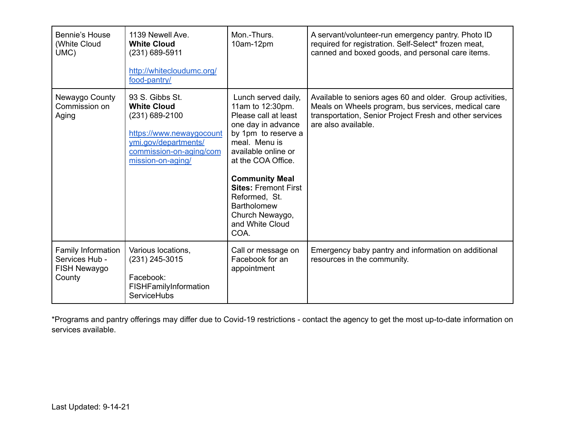| Bennie's House<br>(White Cloud<br>UMC)                                | 1139 Newell Ave.<br><b>White Cloud</b><br>(231) 689-5911<br>http://whitecloudumc.org/<br>food-pantry/                                                         | Mon.-Thurs.<br>10am-12pm                                                                                                                                                                                                                                                                                                | A servant/volunteer-run emergency pantry. Photo ID<br>required for registration. Self-Select* frozen meat,<br>canned and boxed goods, and personal care items.                                     |
|-----------------------------------------------------------------------|---------------------------------------------------------------------------------------------------------------------------------------------------------------|-------------------------------------------------------------------------------------------------------------------------------------------------------------------------------------------------------------------------------------------------------------------------------------------------------------------------|----------------------------------------------------------------------------------------------------------------------------------------------------------------------------------------------------|
| Newaygo County<br>Commission on<br>Aging                              | 93 S. Gibbs St.<br><b>White Cloud</b><br>$(231)$ 689-2100<br>https://www.newaygocount<br>ymi.gov/departments/<br>commission-on-aging/com<br>mission-on-aging/ | Lunch served daily,<br>11am to 12:30pm.<br>Please call at least<br>one day in advance<br>by 1pm to reserve a<br>meal. Menu is<br>available online or<br>at the COA Office.<br><b>Community Meal</b><br><b>Sites: Fremont First</b><br>Reformed, St.<br><b>Bartholomew</b><br>Church Newaygo,<br>and White Cloud<br>COA. | Available to seniors ages 60 and older. Group activities,<br>Meals on Wheels program, bus services, medical care<br>transportation, Senior Project Fresh and other services<br>are also available. |
| <b>Family Information</b><br>Services Hub -<br>FISH Newaygo<br>County | Various locations,<br>(231) 245-3015<br>Facebook:<br>FISHFamilyInformation<br>ServiceHubs                                                                     | Call or message on<br>Facebook for an<br>appointment                                                                                                                                                                                                                                                                    | Emergency baby pantry and information on additional<br>resources in the community.                                                                                                                 |

\*Programs and pantry offerings may differ due to Covid-19 restrictions - contact the agency to get the most up-to-date information on services available.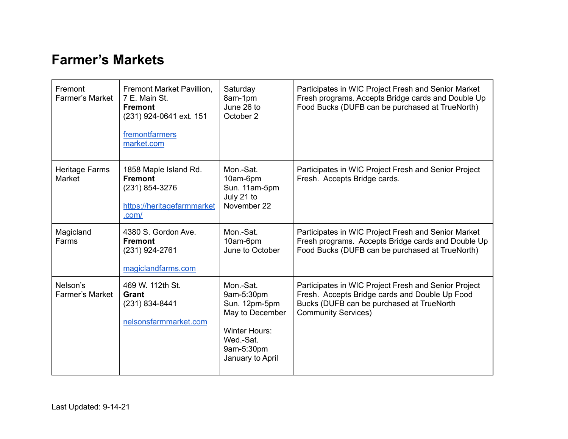## **Farmer's Markets**

| Fremont<br><b>Farmer's Market</b>  | Fremont Market Pavillion,<br>7 E. Main St.<br><b>Fremont</b><br>(231) 924-0641 ext. 151<br>fremontfarmers<br>market.com | Saturday<br>8am-1pm<br>June 26 to<br>October 2                                                                                     | Participates in WIC Project Fresh and Senior Market<br>Fresh programs. Accepts Bridge cards and Double Up<br>Food Bucks (DUFB can be purchased at TrueNorth)                      |
|------------------------------------|-------------------------------------------------------------------------------------------------------------------------|------------------------------------------------------------------------------------------------------------------------------------|-----------------------------------------------------------------------------------------------------------------------------------------------------------------------------------|
| Heritage Farms<br>Market           | 1858 Maple Island Rd.<br><b>Fremont</b><br>(231) 854-3276<br>https://heritagefarmmarket<br>.com/                        | Mon.-Sat.<br>10am-6pm<br>Sun. 11am-5pm<br>July 21 to<br>November 22                                                                | Participates in WIC Project Fresh and Senior Project<br>Fresh. Accepts Bridge cards.                                                                                              |
| Magicland<br>Farms                 | 4380 S. Gordon Ave.<br><b>Fremont</b><br>$(231)$ 924-2761<br>magiclandfarms.com                                         | Mon.-Sat.<br>10am-6pm<br>June to October                                                                                           | Participates in WIC Project Fresh and Senior Market<br>Fresh programs. Accepts Bridge cards and Double Up<br>Food Bucks (DUFB can be purchased at TrueNorth)                      |
| Nelson's<br><b>Farmer's Market</b> | 469 W. 112th St.<br>Grant<br>$(231) 834 - 8441$<br>nelsonsfarmmarket.com                                                | Mon.-Sat.<br>9am-5:30pm<br>Sun. 12pm-5pm<br>May to December<br><b>Winter Hours:</b><br>Wed.-Sat.<br>9am-5:30pm<br>January to April | Participates in WIC Project Fresh and Senior Project<br>Fresh. Accepts Bridge cards and Double Up Food<br>Bucks (DUFB can be purchased at TrueNorth<br><b>Community Services)</b> |